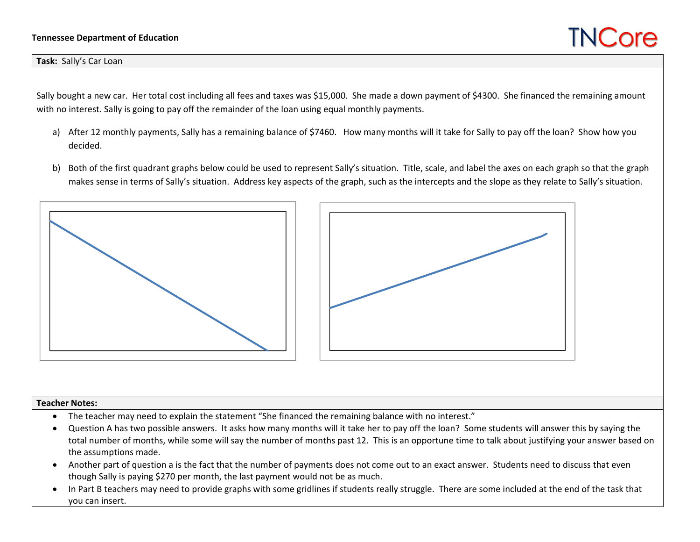## **Tennessee Department of Education**

## **TNCore**

## **Task:** Sally's Car Loan

Sally bought <sup>a</sup> new car. Her total cost including all fees and taxes was \$15,000. She made <sup>a</sup> down payment of \$4300. She financed the remaining amount with no interest. Sally is going to pay off the remainder of the loan using equal monthly payments.

- a) After <sup>12</sup> monthly payments, Sally has <sup>a</sup> remaining balance of \$7460. How many months will it take for Sally to pay off the loan? Show how you decided.
- b) Both of the first quadrant graphs below could be used to represent Sally's situation. Title, scale, and label the axes on each graph so that the graph makes sense in terms of Sally's situation. Address key aspects of the graph, such as the intercepts and the slope as they relate to Sally's situation.





## **Teacher Notes:**

- $\bullet$ The teacher may need to explain the statement "She financed the remaining balance with no interest."
- . Question A has two possible answers. It asks how many months will it take her to pay off the loan? Some students will answer this by saying the total number of months, while some will say the number of months past 12. This is an opportune time to talk about justifying your answer based on the assumptions made.
- . Another part of question <sup>a</sup> is the fact that the number of payments does not come out to an exact answer. Students need to discuss that even though Sally is paying \$270 per month, the last payment would not be as much.
- . In Part B teachers may need to provide graphs with some gridlines if students really struggle. There are some included at the end of the task that you can insert.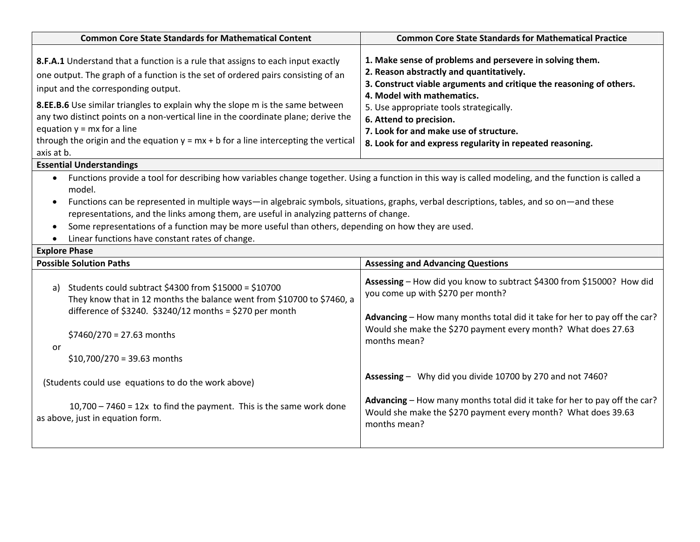| <b>Common Core State Standards for Mathematical Content</b>                                                                                                                                                                                                                                                                                                                                                                                                                                                                                                   | <b>Common Core State Standards for Mathematical Practice</b>                                                                                                                                                                                                                                                                                                                           |  |
|---------------------------------------------------------------------------------------------------------------------------------------------------------------------------------------------------------------------------------------------------------------------------------------------------------------------------------------------------------------------------------------------------------------------------------------------------------------------------------------------------------------------------------------------------------------|----------------------------------------------------------------------------------------------------------------------------------------------------------------------------------------------------------------------------------------------------------------------------------------------------------------------------------------------------------------------------------------|--|
| 8.F.A.1 Understand that a function is a rule that assigns to each input exactly<br>one output. The graph of a function is the set of ordered pairs consisting of an<br>input and the corresponding output.<br>8.EE.B.6 Use similar triangles to explain why the slope m is the same between<br>any two distinct points on a non-vertical line in the coordinate plane; derive the<br>equation $y = mx$ for a line<br>through the origin and the equation $y = mx + b$ for a line intercepting the vertical<br>axis at b.                                      | 1. Make sense of problems and persevere in solving them.<br>2. Reason abstractly and quantitatively.<br>3. Construct viable arguments and critique the reasoning of others.<br>4. Model with mathematics.<br>5. Use appropriate tools strategically.<br>6. Attend to precision.<br>7. Look for and make use of structure.<br>8. Look for and express regularity in repeated reasoning. |  |
| <b>Essential Understandings</b>                                                                                                                                                                                                                                                                                                                                                                                                                                                                                                                               |                                                                                                                                                                                                                                                                                                                                                                                        |  |
| Functions provide a tool for describing how variables change together. Using a function in this way is called modeling, and the function is called a<br>model.<br>Functions can be represented in multiple ways—in algebraic symbols, situations, graphs, verbal descriptions, tables, and so on—and these<br>representations, and the links among them, are useful in analyzing patterns of change.<br>Some representations of a function may be more useful than others, depending on how they are used.<br>Linear functions have constant rates of change. |                                                                                                                                                                                                                                                                                                                                                                                        |  |
| <b>Explore Phase</b>                                                                                                                                                                                                                                                                                                                                                                                                                                                                                                                                          |                                                                                                                                                                                                                                                                                                                                                                                        |  |
| <b>Possible Solution Paths</b>                                                                                                                                                                                                                                                                                                                                                                                                                                                                                                                                | <b>Assessing and Advancing Questions</b>                                                                                                                                                                                                                                                                                                                                               |  |
| a) Students could subtract \$4300 from \$15000 = \$10700<br>They know that in 12 months the balance went from \$10700 to \$7460, a<br>difference of \$3240. \$3240/12 months = \$270 per month<br>\$7460/270 = 27.63 months                                                                                                                                                                                                                                                                                                                                   | Assessing - How did you know to subtract \$4300 from \$15000? How did<br>you come up with \$270 per month?<br>Advancing - How many months total did it take for her to pay off the car?<br>Would she make the \$270 payment every month? What does 27.63<br>months mean?                                                                                                               |  |
| or                                                                                                                                                                                                                                                                                                                                                                                                                                                                                                                                                            |                                                                                                                                                                                                                                                                                                                                                                                        |  |
| $$10,700/270 = 39.63$ months                                                                                                                                                                                                                                                                                                                                                                                                                                                                                                                                  |                                                                                                                                                                                                                                                                                                                                                                                        |  |
| (Students could use equations to do the work above)                                                                                                                                                                                                                                                                                                                                                                                                                                                                                                           | Assessing - Why did you divide 10700 by 270 and not 7460?                                                                                                                                                                                                                                                                                                                              |  |
| $10,700 - 7460 = 12x$ to find the payment. This is the same work done<br>as above, just in equation form.                                                                                                                                                                                                                                                                                                                                                                                                                                                     | Advancing - How many months total did it take for her to pay off the car?<br>Would she make the \$270 payment every month? What does 39.63<br>months mean?                                                                                                                                                                                                                             |  |
|                                                                                                                                                                                                                                                                                                                                                                                                                                                                                                                                                               |                                                                                                                                                                                                                                                                                                                                                                                        |  |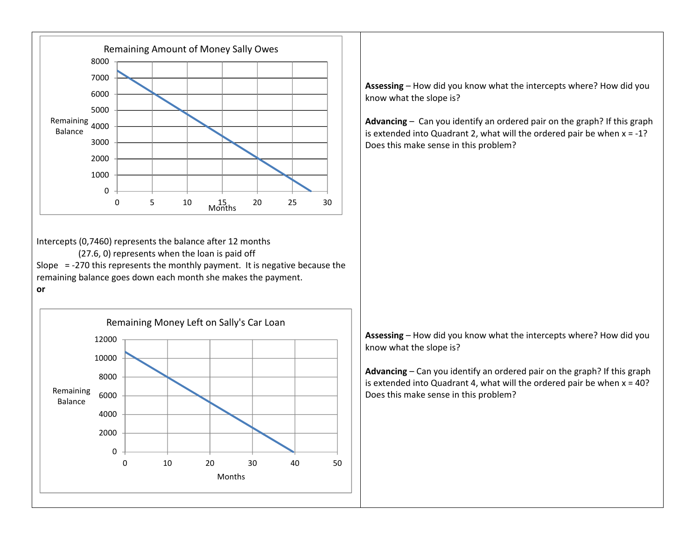

Intercepts (0,7460) represents the balance after 12 months

(27.6, 0) represents when the loan is paid off Slope <sup>=</sup> ‐270 this represents the monthly payment. It is negative because the remaining balance goes down each month she makes the payment.

**or**



**Assessing** – How did you know what the intercepts where? How did you know what the slope is?

**Advancing** – Can you identify an ordered pair on the graph? If this graph is extended into Quadrant 2, what will the ordered pair be when <sup>x</sup> <sup>=</sup> ‐1? Does this make sense in this problem?

**Assessing** – How did you know what the intercepts where? How did you know what the slope is?

**Advancing** – Can you identify an ordered pair on the graph? If this graph is extended into Quadrant 4, what will the ordered pair be when <sup>x</sup> <sup>=</sup> 40? Does this make sense in this problem?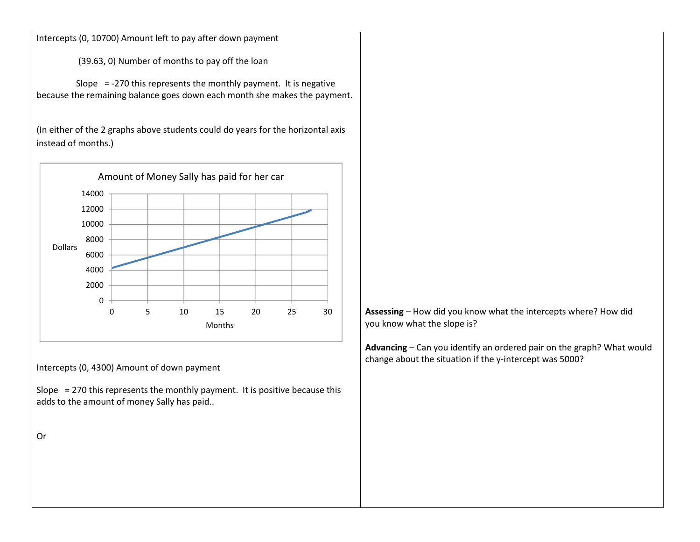Intercepts (0, 10700) Amount left to pay after down payment

(39.63, 0) Number of months to pay off the loan

Slope <sup>=</sup> ‐270 this represents the monthly payment. It is negative because the remaining balance goes down each month she makes the payment.

(In either of the 2 graphs above students could do years for the horizontal axis instead of months.)



Intercepts (0, 4300) Amount of down payment

Slope <sup>=</sup> 270 this represents the monthly payment. It is positive because this adds to the amount of money Sally has paid..

Or

**Assessing** – How did you know what the intercepts where? How did you know what the slope is?

**Advancing** – Can you identify an ordered pair on the graph? What would change about the situation if the y-intercept was 5000?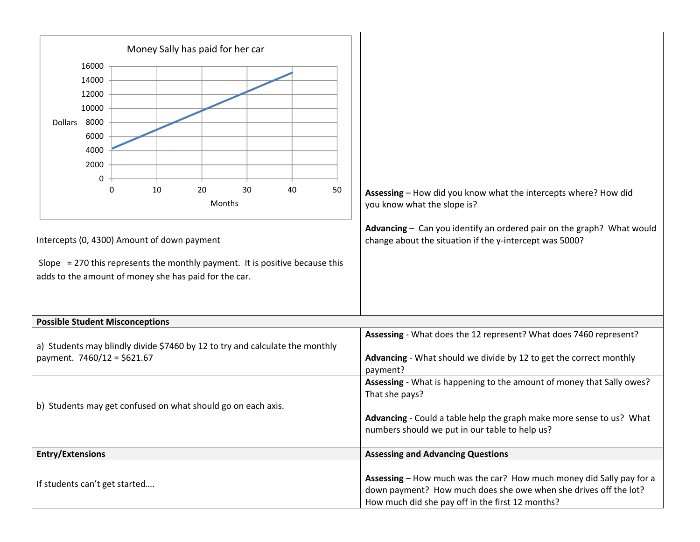| Money Sally has paid for her car                                                                                                        |                                                                                                                                                                                                                   |
|-----------------------------------------------------------------------------------------------------------------------------------------|-------------------------------------------------------------------------------------------------------------------------------------------------------------------------------------------------------------------|
| 16000<br>14000<br>12000                                                                                                                 |                                                                                                                                                                                                                   |
| 10000                                                                                                                                   |                                                                                                                                                                                                                   |
| 8000<br><b>Dollars</b><br>6000                                                                                                          |                                                                                                                                                                                                                   |
| 4000                                                                                                                                    |                                                                                                                                                                                                                   |
| 2000                                                                                                                                    |                                                                                                                                                                                                                   |
| 0<br>20<br>30<br>10<br>40<br>50<br>0<br>Months                                                                                          | Assessing - How did you know what the intercepts where? How did<br>you know what the slope is?                                                                                                                    |
| Intercepts (0, 4300) Amount of down payment                                                                                             | Advancing - Can you identify an ordered pair on the graph? What would<br>change about the situation if the y-intercept was 5000?                                                                                  |
| Slope $= 270$ this represents the monthly payment. It is positive because this<br>adds to the amount of money she has paid for the car. |                                                                                                                                                                                                                   |
| <b>Possible Student Misconceptions</b>                                                                                                  |                                                                                                                                                                                                                   |
| a) Students may blindly divide \$7460 by 12 to try and calculate the monthly<br>payment. 7460/12 = \$621.67                             | Assessing - What does the 12 represent? What does 7460 represent?<br>Advancing - What should we divide by 12 to get the correct monthly<br>payment?                                                               |
| b) Students may get confused on what should go on each axis.                                                                            | Assessing - What is happening to the amount of money that Sally owes?<br>That she pays?<br>Advancing - Could a table help the graph make more sense to us? What<br>numbers should we put in our table to help us? |
| <b>Entry/Extensions</b>                                                                                                                 | <b>Assessing and Advancing Questions</b>                                                                                                                                                                          |
| If students can't get started                                                                                                           | Assessing - How much was the car? How much money did Sally pay for a<br>down payment? How much does she owe when she drives off the lot?<br>How much did she pay off in the first 12 months?                      |